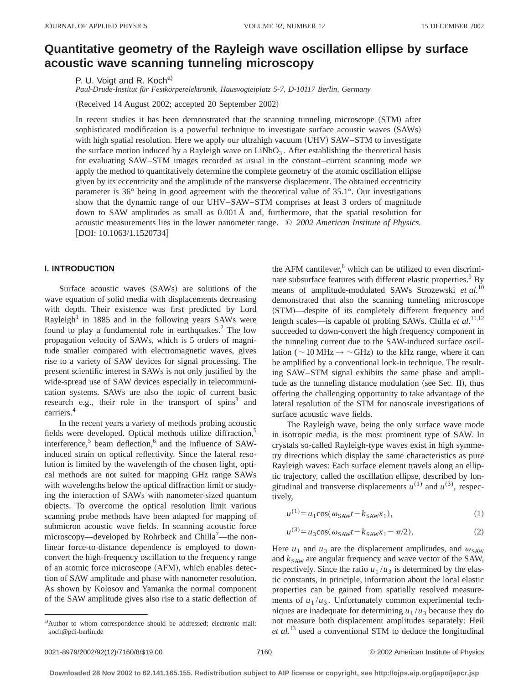# **Quantitative geometry of the Rayleigh wave oscillation ellipse by surface acoustic wave scanning tunneling microscopy**

P. U. Voigt and R. Koch<sup>a)</sup>

*Paul-Drude-Institut für Festkörperelektronik, Hausvogteiplatz 5-7, D-10117 Berlin, Germany*

(Received 14 August 2002; accepted 20 September 2002)

In recent studies it has been demonstrated that the scanning tunneling microscope (STM) after sophisticated modification is a powerful technique to investigate surface acoustic waves (SAWs) with high spatial resolution. Here we apply our ultrahigh vacuum (UHV) SAW–STM to investigate the surface motion induced by a Rayleigh wave on  $LiNbO<sub>3</sub>$ . After establishing the theoretical basis for evaluating SAW–STM images recorded as usual in the constant–current scanning mode we apply the method to quantitatively determine the complete geometry of the atomic oscillation ellipse given by its eccentricity and the amplitude of the transverse displacement. The obtained eccentricity parameter is 36° being in good agreement with the theoretical value of 35.1°. Our investigations show that the dynamic range of our UHV–SAW–STM comprises at least 3 orders of magnitude down to SAW amplitudes as small as 0.001 Å and, furthermore, that the spatial resolution for acoustic measurements lies in the lower nanometer range. © *2002 American Institute of Physics.* [DOI: 10.1063/1.1520734]

## **I. INTRODUCTION**

Surface acoustic waves (SAWs) are solutions of the wave equation of solid media with displacements decreasing with depth. Their existence was first predicted by Lord Rayleigh<sup>1</sup> in 1885 and in the following years SAWs were found to play a fundamental role in earthquakes. $2$  The low propagation velocity of SAWs, which is 5 orders of magnitude smaller compared with electromagnetic waves, gives rise to a variety of SAW devices for signal processing. The present scientific interest in SAWs is not only justified by the wide-spread use of SAW devices especially in telecommunication systems. SAWs are also the topic of current basic research e.g., their role in the transport of spins<sup>3</sup> and carriers.<sup>4</sup>

In the recent years a variety of methods probing acoustic fields were developed. Optical methods utilize diffraction,<sup>5</sup> interference, $5$  beam deflection, $6$  and the influence of SAWinduced strain on optical reflectivity. Since the lateral resolution is limited by the wavelength of the chosen light, optical methods are not suited for mapping GHz range SAWs with wavelengths below the optical diffraction limit or studying the interaction of SAWs with nanometer-sized quantum objects. To overcome the optical resolution limit various scanning probe methods have been adapted for mapping of submicron acoustic wave fields. In scanning acoustic force microscopy—developed by Rohrbeck and Chilla<sup>7</sup>—the nonlinear force-to-distance dependence is employed to downconvert the high-frequency oscillation to the frequency range of an atomic force microscope (AFM), which enables detection of SAW amplitude and phase with nanometer resolution. As shown by Kolosov and Yamanka the normal component of the SAW amplitude gives also rise to a static deflection of

a)Author to whom correspondence should be addressed; electronic mail: koch@pdi-berlin.de

the AFM cantilever, $8$  which can be utilized to even discriminate subsurface features with different elastic properties.<sup>9</sup> By means of amplitude-modulated SAWs Strozewski *et al.*<sup>10</sup> demonstrated that also the scanning tunneling microscope (STM)—despite of its completely different frequency and length scales—is capable of probing SAWs. Chilla *et al.*<sup>11,12</sup> succeeded to down-convert the high frequency component in the tunneling current due to the SAW-induced surface oscillation ( $\sim$ 10 MHz  $\rightarrow$   $\sim$  GHz) to the kHz range, where it can be amplified by a conventional lock-in technique. The resulting SAW–STM signal exhibits the same phase and amplitude as the tunneling distance modulation (see Sec. II), thus offering the challenging opportunity to take advantage of the lateral resolution of the STM for nanoscale investigations of surface acoustic wave fields.

The Rayleigh wave, being the only surface wave mode in isotropic media, is the most prominent type of SAW. In crystals so-called Rayleigh-type waves exist in high symmetry directions which display the same characteristics as pure Rayleigh waves: Each surface element travels along an elliptic trajectory, called the oscillation ellipse, described by longitudinal and transverse displacements  $u^{(1)}$  and  $u^{(3)}$ , respectively,

$$
u^{(1)} = u_1 \cos(\omega_{SAW} t - k_{SAW} x_1),
$$
 (1)

$$
u^{(3)} = u_3 \cos(\omega_{SAW} t - k_{SAW} x_1 - \pi/2). \tag{2}
$$

Here  $u_1$  and  $u_3$  are the displacement amplitudes, and  $\omega_{SAW}$ and  $k_{SAW}$  are angular frequency and wave vector of the SAW, respectively. Since the ratio  $u_1/u_3$  is determined by the elastic constants, in principle, information about the local elastic properties can be gained from spatially resolved measurements of  $u_1/u_3$ . Unfortunately common experimental techniques are inadequate for determining  $u_1/u_3$  because they do not measure both displacement amplitudes separately: Heil *et al.*<sup>13</sup> used a conventional STM to deduce the longitudinal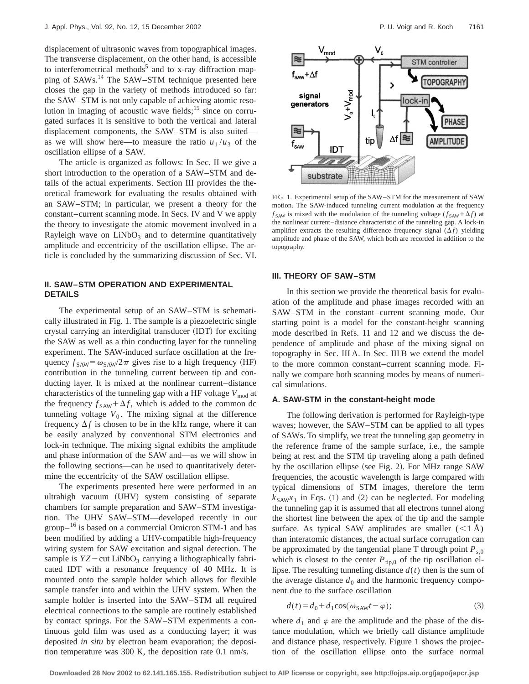displacement of ultrasonic waves from topographical images. The transverse displacement, on the other hand, is accessible to interferometrical methods<sup>5</sup> and to x-ray diffraction mapping of SAWs.<sup>14</sup> The SAW–STM technique presented here closes the gap in the variety of methods introduced so far: the SAW–STM is not only capable of achieving atomic resolution in imaging of acoustic wave fields; $^{15}$  since on corrugated surfaces it is sensitive to both the vertical and lateral displacement components, the SAW–STM is also suited as we will show here—to measure the ratio  $u_1/u_3$  of the oscillation ellipse of a SAW.

The article is organized as follows: In Sec. II we give a short introduction to the operation of a SAW–STM and details of the actual experiments. Section III provides the theoretical framework for evaluating the results obtained with an SAW–STM; in particular, we present a theory for the constant–current scanning mode. In Secs. IV and V we apply the theory to investigate the atomic movement involved in a Rayleigh wave on  $LiNbO<sub>3</sub>$  and to determine quantitatively amplitude and eccentricity of the oscillation ellipse. The article is concluded by the summarizing discussion of Sec. VI.

# **II. SAW–STM OPERATION AND EXPERIMENTAL DETAILS**

The experimental setup of an SAW–STM is schematically illustrated in Fig. 1. The sample is a piezoelectric single crystal carrying an interdigital transducer (IDT) for exciting the SAW as well as a thin conducting layer for the tunneling experiment. The SAW-induced surface oscillation at the frequency  $f_{SAW} = \omega_{SAW}/2\pi$  gives rise to a high frequency (HF) contribution in the tunneling current between tip and conducting layer. It is mixed at the nonlinear current–distance characteristics of the tunneling gap with a HF voltage  $V_{\text{mod}}$  at the frequency  $f_{SAW} + \Delta f$ , which is added to the common dc tunneling voltage  $V_0$ . The mixing signal at the difference frequency  $\Delta f$  is chosen to be in the kHz range, where it can be easily analyzed by conventional STM electronics and lock-in technique. The mixing signal exhibits the amplitude and phase information of the SAW and—as we will show in the following sections—can be used to quantitatively determine the eccentricity of the SAW oscillation ellipse.

The experiments presented here were performed in an ultrahigh vacuum (UHV) system consisting of separate chambers for sample preparation and SAW–STM investigation. The UHV SAW–STM—developed recently in our  $\text{group}^{-16}$  is based on a commercial Omicron STM-1 and has been modified by adding a UHV-compatible high-frequency wiring system for SAW excitation and signal detection. The sample is  $YZ$  – cut LiNbO<sub>3</sub> carrying a lithographically fabricated IDT with a resonance frequency of 40 MHz. It is mounted onto the sample holder which allows for flexible sample transfer into and within the UHV system. When the sample holder is inserted into the SAW–STM all required electrical connections to the sample are routinely established by contact springs. For the SAW–STM experiments a continuous gold film was used as a conducting layer; it was deposited *in situ* by electron beam evaporation; the deposition temperature was 300 K, the deposition rate 0.1 nm/s.



FIG. 1. Experimental setup of the SAW–STM for the measurement of SAW motion. The SAW-induced tunneling current modulation at the frequency  $f_{SAW}$  is mixed with the modulation of the tunneling voltage  $(f_{SAW} + \Delta f)$  at the nonlinear current–distance characteristic of the tunneling gap. A lock-in amplifier extracts the resulting difference frequency signal  $(\Delta f)$  yielding amplitude and phase of the SAW, which both are recorded in addition to the topography.

## **III. THEORY OF SAW–STM**

In this section we provide the theoretical basis for evaluation of the amplitude and phase images recorded with an SAW–STM in the constant–current scanning mode. Our starting point is a model for the constant-height scanning mode described in Refs. 11 and 12 and we discuss the dependence of amplitude and phase of the mixing signal on topography in Sec. III A. In Sec. III B we extend the model to the more common constant–current scanning mode. Finally we compare both scanning modes by means of numerical simulations.

## **A. SAW-STM in the constant-height mode**

The following derivation is performed for Rayleigh-type waves; however, the SAW–STM can be applied to all types of SAWs. To simplify, we treat the tunneling gap geometry in the reference frame of the sample surface, i.e., the sample being at rest and the STM tip traveling along a path defined by the oscillation ellipse (see Fig. 2). For MHz range SAW frequencies, the acoustic wavelength is large compared with typical dimensions of STM images, therefore the term  $k_{SAW}$ *x*<sub>1</sub> in Eqs. (1) and (2) can be neglected. For modeling the tunneling gap it is assumed that all electrons tunnel along the shortest line between the apex of the tip and the sample surface. As typical SAW amplitudes are smaller  $(<1)$ Å) than interatomic distances, the actual surface corrugation can be approximated by the tangential plane T through point  $P_{s,0}$ which is closest to the center  $P_{\text{tip},0}$  of the tip oscillation ellipse. The resulting tunneling distance  $d(t)$  then is the sum of the average distance  $d_0$  and the harmonic frequency component due to the surface oscillation

$$
d(t) = d_0 + d_1 \cos(\omega_{SAW} t - \varphi); \tag{3}
$$

where  $d_1$  and  $\varphi$  are the amplitude and the phase of the distance modulation, which we briefly call distance amplitude and distance phase, respectively. Figure 1 shows the projection of the oscillation ellipse onto the surface normal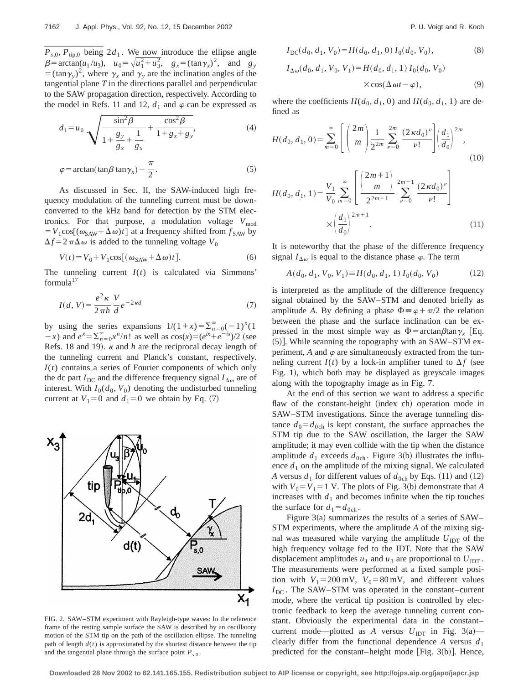**7162** J. Appl. Phys., Vol. 92, No. 12, 15 December 2002<br>  $\overline{P}_{s,0}, \overline{P}_{\text{tip},0}$  being 2*d*<sub>1</sub>. We now introduce the ellipse angle<br>  $\beta = \arctan(u_1/u_3), u_0 = \sqrt{u_1^2 + u_3^2}, g_x = (\tan \gamma_x)^2$ , and  $g_y = (\tan \gamma_y)^2$ , where  $\gamma_x$  and  $\gamma_y$  $\beta = \arctan(u_1/u_3), \quad u_0 = \sqrt{u_1^2 + u_3^2}, \quad g_x = (\tan \gamma_x)^2, \quad \text{and} \quad g_y$  $=$   $(\tan \gamma_v)^2$ , where  $\gamma_x$  and  $\gamma_v$  are the inclination angles of the tangential plane *T* in the directions parallel and perpendicular to the SAW propagation direction, respectively. According to the model in Refs. 11 and 12,  $d_1$  and  $\varphi$  can be expressed as

$$
d_1 = u_0 \sqrt{\frac{\sin^2 \beta}{1 + \frac{g_y}{g_x} + \frac{1}{1 + g_x + g_y}} + \frac{\cos^2 \beta}{1 + g_x + g_y}},
$$
(4)

$$
\varphi = \arctan(\tan\beta \tan\gamma_x) - \frac{\pi}{2}.
$$
 (5)

As discussed in Sec. II, the SAW-induced high frequency modulation of the tunneling current must be downconverted to the kHz band for detection by the STM electronics. For that purpose, a modulation voltage  $V_{\text{mod}}$  $=V_1\cos[(\omega_{SAW}+\Delta\omega)t]$  at a frequency shifted from  $f_{SAW}$  by  $\Delta f = 2 \pi \Delta \omega$  is added to the tunneling voltage  $V_0$ 

$$
V(t) = V_0 + V_1 \cos[(\omega_{SAW} + \Delta \omega)t].
$$
 (6)

The tunneling current  $I(t)$  is calculated via Simmons'  $formula<sup>17</sup>$ 

$$
I(d, V) = \frac{e^2 \kappa}{2 \pi h} \frac{V}{d} e^{-2\kappa d} \tag{7}
$$

by using the series expansions  $1/(1+x) = \sum_{n=0}^{\infty} (-1)^n (1+x)$  $(x - x)$  and  $e^{x} = \sum_{n=0}^{\infty} x^{n}/n!$  as well as  $\cos(x) = (e^{ix} + e^{-ix})/2$  (see Refs. 18 and 19).  $\kappa$  and *h* are the reciprocal decay length of the tunneling current and Planck's constant, respectively. *I*(*t*) contains a series of Fourier components of which only the dc part  $I_{\text{DC}}$  and the difference frequency signal  $I_{\Delta\omega}$  are of interest. With  $I_0(d_0, V_0)$  denoting the undisturbed tunneling current at  $V_1=0$  and  $d_1=0$  we obtain by Eq. (7)



FIG. 2. SAW–STM experiment with Rayleigh-type waves: In the reference frame of the resting sample surface the SAW is described by an oscillatory motion of the STM tip on the path of the oscillation ellipse. The tunneling path of length  $d(t)$  is approximated by the shortest distance between the tip and the tangential plane through the surface point  $P_{s,0}$ .

$$
I_{\rm DC}(d_0, d_1, V_0) = H(d_0, d_1, 0) I_0(d_0, V_0), \tag{8}
$$

$$
I_{\Delta\omega}(d_0, d_1, V_0, V_1) = H(d_0, d_1, 1) I_0(d_0, V_0)
$$
  
×cos( $\Delta \omega t - \varphi$ ), (9)

where the coefficients  $H(d_0, d_1, 0)$  and  $H(d_0, d_1, 1)$  are defined as

$$
H(d_0, d_1, 0) = \sum_{m=0}^{\infty} \left[ \left( \frac{2m}{m} \right) \frac{1}{2^{2m}} \sum_{\nu=0}^{2m} \frac{(2\kappa d_0)^{\nu}}{\nu!} \right] \left( \frac{d_1}{d_0} \right)^{2m},\tag{10}
$$

$$
H(d_0, d_1, 1) = \frac{V_1}{V_0} \sum_{m=0}^{\infty} \left[ \frac{\binom{2m+1}{m}}{2^{2m+1}} \sum_{\nu=0}^{2m+1} \frac{(2\kappa d_0)^{\nu}}{\nu!} \right]
$$

$$
\times \left( \frac{d_1}{d_0} \right)^{2m+1}.
$$
 (11)

It is noteworthy that the phase of the difference frequency signal  $I_{\Delta\omega}$  is equal to the distance phase  $\varphi$ . The term

$$
A(d_0, d_1, V_0, V_1) \equiv H(d_0, d_1, 1) I_0(d_0, V_0)
$$
 (12)

is interpreted as the amplitude of the difference frequency signal obtained by the SAW–STM and denoted briefly as amplitude *A*. By defining a phase  $\Phi = \varphi + \pi/2$  the relation between the phase and the surface inclination can be expressed in the most simple way as  $\Phi = \arctan\beta \tan\gamma$ <sub>x</sub> [Eq.  $(5)$ ]. While scanning the topography with an SAW–STM experiment,  $A$  and  $\varphi$  are simultaneously extracted from the tunneling current  $I(t)$  by a lock-in amplifier tuned to  $\Delta f$  (see Fig. 1), which both may be displayed as greyscale images along with the topography image as in Fig. 7.

At the end of this section we want to address a specific flaw of the constant-height (index ch) operation mode in SAW–STM investigations. Since the average tunneling distance  $d_0 = d_{0ch}$  is kept constant, the surface approaches the STM tip due to the SAW oscillation, the larger the SAW amplitude; it may even collide with the tip when the distance amplitude  $d_1$  exceeds  $d_{0ch}$ . Figure 3(b) illustrates the influence  $d_1$  on the amplitude of the mixing signal. We calculated *A* versus  $d_1$  for different values of  $d_{0ch}$  by Eqs. (11) and (12) with  $V_0 = V_1 = 1$  V. The plots of Fig. 3(b) demonstrate that *A* increases with  $d_1$  and becomes infinite when the tip touches the surface for  $d_1 = d_{0ch}$ .

Figure  $3(a)$  summarizes the results of a series of SAW– STM experiments, where the amplitude *A* of the mixing signal was measured while varying the amplitude  $U_{\text{IDT}}$  of the high frequency voltage fed to the IDT. Note that the SAW displacement amplitudes  $u_1$  and  $u_3$  are proportional to  $U_{\text{IDT}}$ . The measurements were performed at a fixed sample position with  $V_1 = 200$  mV,  $V_0 = 80$  mV, and different values  $I_{\text{DC}}$ . The SAW–STM was operated in the constant–current mode, where the vertical tip position is controlled by electronic feedback to keep the average tunneling current constant. Obviously the experimental data in the constant– current mode—plotted as *A* versus  $U_{\text{IDT}}$  in Fig. 3(a) clearly differ from the functional dependence *A* versus  $d_1$ predicted for the constant–height mode [Fig. 3(b)]. Hence,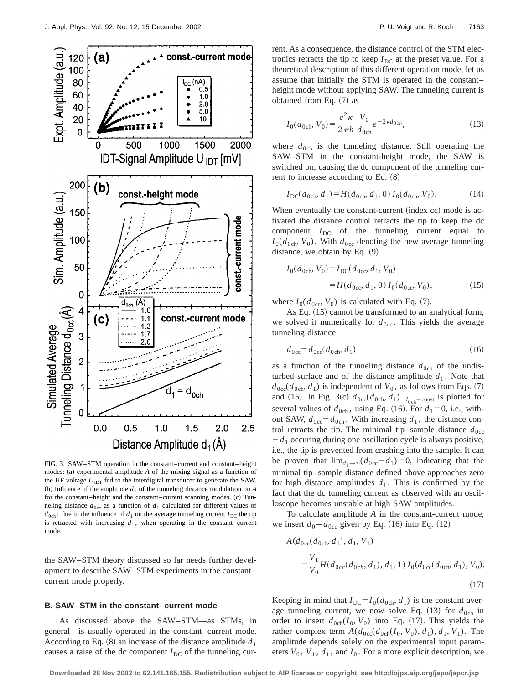

FIG. 3. SAW–STM operation in the constant–current and constant–height modes:  $(a)$  experimental amplitude  $A$  of the mixing signal as a function of the HF voltage  $U_{\text{IDT}}$  fed to the interdigital transducer to generate the SAW. (b) Influence of the amplitude  $d_1$  of the tunneling distance modulation on  $A$ for the constant–height and the constant–current scanning modes. (c) Tunneling distance  $d_{0c}$  as a function of  $d_1$  calculated for different values of  $d_{0ch}$ ; due to the influence of  $d_1$  on the average tunneling current  $I_{DC}$  the tip is retracted with increasing  $d_1$ , when operating in the constant–current mode.

the SAW–STM theory discussed so far needs further development to describe SAW–STM experiments in the constant– current mode properly.

#### **B. SAW–STM in the constant–current mode**

As discussed above the SAW–STM—as STMs, in general—is usually operated in the constant–current mode. According to Eq.  $(8)$  an increase of the distance amplitude  $d_1$ causes a raise of the dc component  $I_{DC}$  of the tunneling current. As a consequence, the distance control of the STM electronics retracts the tip to keep  $I_{\text{DC}}$  at the preset value. For a theoretical description of this different operation mode, let us assume that initially the STM is operated in the constant– height mode without applying SAW. The tunneling current is obtained from Eq.  $(7)$  as

$$
I_0(d_{0\text{ch}}, V_0) = \frac{e^2 \kappa}{2\pi h} \frac{V_0}{d_{0\text{ch}}} e^{-2\kappa d_{0ch}},
$$
\n(13)

where  $d_{0ch}$  is the tunneling distance. Still operating the SAW–STM in the constant-height mode, the SAW is switched on, causing the dc component of the tunneling current to increase according to Eq.  $(8)$ 

$$
I_{\rm DC}(d_{\rm 0ch}, d_1) = H(d_{\rm 0ch}, d_1, 0) I_0(d_{\rm 0ch}, V_0). \tag{14}
$$

When eventually the constant-current (index cc) mode is activated the distance control retracts the tip to keep the dc component  $I_{DC}$  of the tunneling current equal to  $I_0(d_{0ch}, V_0)$ . With  $d_{0cc}$  denoting the new average tunneling distance, we obtain by Eq.  $(9)$ 

$$
I_0(d_{0ch}, V_0) = I_{DC}(d_{0cc}, d_1, V_0)
$$
  
=  $H(d_{0cc}, d_1, 0) I_0(d_{0cc}, V_0),$  (15)

where  $I_0(d_{0cc}, V_0)$  is calculated with Eq. (7).

As Eq.  $(15)$  cannot be transformed to an analytical form, we solved it numerically for  $d_{0cc}$ . This yields the average tunneling distance

$$
d_{0\rm cc} = d_{0\rm cc}(d_{0\rm ch}, d_1) \tag{16}
$$

as a function of the tunneling distance  $d_{0ch}$  of the undisturbed surface and of the distance amplitude  $d_1$ . Note that  $d_{0cc}(d_{0ch}, d_1)$  is independent of  $V_0$ , as follows from Eqs. (7) and (15). In Fig. 3(c)  $d_{0cc}(d_{0ch}, d_1) |_{d_{0ch}=\text{const}}$  is plotted for several values of  $d_{0ch}$ , using Eq. (16). For  $d_1=0$ , i.e., without SAW,  $d_{0cc} = d_{0ch}$ . With increasing  $d_1$ , the distance control retracts the tip. The minimal tip–sample distance  $d_{0c}$  $-d_1$  occuring during one oscillation cycle is always positive, i.e., the tip is prevented from crashing into the sample. It can be proven that  $\lim_{d_1 \to \infty} (d_{0c} - d_1) = 0$ , indicating that the minimal tip–sample distance defined above approaches zero for high distance amplitudes  $d_1$ . This is confirmed by the fact that the dc tunneling current as observed with an oscilloscope becomes unstable at high SAW amplitudes.

To calculate amplitude *A* in the constant-current mode, we insert  $d_0 = d_{0c}$  given by Eq. (16) into Eq. (12)

$$
A(d_{\text{0cc}}(d_{\text{0ch}}, d_1), d_1, V_1)
$$
  
=  $\frac{V_1}{V_0} H(d_{\text{0cc}}(d_{\text{0ch}}, d_1), d_1, 1) I_0(d_{\text{0cc}}(d_{\text{0ch}}, d_1), V_0).$  (17)

Keeping in mind that  $I_{DC} = I_0(d_{0ch}, d_1)$  is the constant average tunneling current, we now solve Eq.  $(13)$  for  $d_{0ch}$  in order to insert  $d_{0ch}(I_0, V_0)$  into Eq. (17). This yields the rather complex term  $A(d_{0cc}(d_{0ch}(I_0, V_0), d_1), d_1, V_1)$ . The amplitude depends solely on the experimental input parameters  $V_0$ ,  $V_1$ ,  $d_1$ , and  $I_0$ . For a more explicit description, we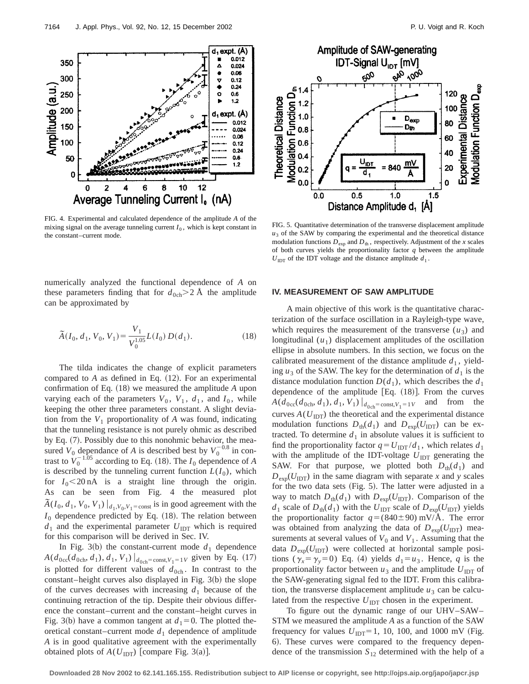

FIG. 4. Experimental and calculated dependence of the amplitude *A* of the mixing signal on the average tunneling current  $I_0$ , which is kept constant in the constant–current mode.

numerically analyzed the functional dependence of *A* on these parameters finding that for  $d_{0ch} > 2$  Å the amplitude can be approximated by

$$
\tilde{A}(I_0, d_1, V_0, V_1) = \frac{V_1}{V_0^{1.05}} L(I_0) D(d_1).
$$
\n(18)

The tilda indicates the change of explicit parameters compared to  $A$  as defined in Eq.  $(12)$ . For an experimental confirmation of Eq. (18) we measured the amplitude *A* upon varying each of the parameters  $V_0$ ,  $V_1$ ,  $d_1$ , and  $I_0$ , while keeping the other three parameters constant. A slight deviation from the  $V_1$  proportionality of  $A$  was found, indicating that the tunneling resistance is not purely ohmic as described by Eq.  $(7)$ . Possibly due to this nonohmic behavior, the measured  $V_0$  dependance of *A* is described best by  $V_0^{-0.8}$  in contrast to  $V_0^{-1.05}$  according to Eq. (18). The  $I_0$  dependence of *A* is described by the tunneling current function  $L(I_0)$ , which for  $I_0$ <20 nA is a straight line through the origin. As can be seen from Fig. 4 the measured plot  $\tilde{A}(I_0, d_1, V_0, V_1) \big|_{d_1, V_0, V_1 = \text{const}}$  is in good agreement with the  $I_0$  dependence predicted by Eq.  $(18)$ . The relation between  $d_1$  and the experimental parameter  $U_{\text{IDT}}$  which is required for this comparison will be derived in Sec. IV.

In Fig. 3(b) the constant-current mode  $d_1$  dependence  $A(d_{0\text{cc}}(d_{0\text{ch}}, d_1), d_1, V_1)|_{d_{0\text{ch}}=\text{const}, V_1=1}$  given by Eq. (17) is plotted for different values of  $d_{0ch}$ . In contrast to the constant–height curves also displayed in Fig.  $3(b)$  the slope of the curves decreases with increasing  $d_1$  because of the continuing retraction of the tip. Despite their obvious difference the constant–current and the constant–height curves in Fig. 3(b) have a common tangent at  $d_1=0$ . The plotted theoretical constant–current mode  $d_1$  dependence of amplitude *A* is in good qualitative agreement with the experimentally obtained plots of  $A(U_{\text{IDT}})$  [compare Fig. 3(a)].



FIG. 5. Quantitative determination of the transverse displacement amplitude  $u_3$  of the SAW by comparing the experimental and the theoretical distance modulation functions  $D_{\text{exp}}$  and  $D_{\text{th}}$ , respectively. Adjustment of the *x* scales of both curves yields the proportionality factor *q* between the amplitude  $U_{\text{IDT}}$  of the IDT voltage and the distance amplitude  $d_1$ .

# **IV. MEASUREMENT OF SAW AMPLITUDE**

A main objective of this work is the quantitative characterization of the surface oscillation in a Rayleigh-type wave, which requires the measurement of the transverse  $(u_3)$  and longitudinal  $(u_1)$  displacement amplitudes of the oscillation ellipse in absolute numbers. In this section, we focus on the calibrated measurement of the distance amplitude  $d_1$ , yielding  $u_3$  of the SAW. The key for the determination of  $d_1$  is the distance modulation function  $D(d_1)$ , which describes the  $d_1$ dependence of the amplitude  $[Eq. (18)]$ . From the curves  $A(d_{0cc}(d_{0ch}, d_1), d_1, V_1)|_{d_{0ch}=\text{const}, V_1=1V}$  and from the curves  $A(U_{\text{IDT}})$  the theoretical and the experimental distance modulation functions  $D_{th}(d_1)$  and  $D_{exp}(U_{\text{IDT}})$  can be extracted. To determine  $d_1$  in absolute values it is sufficient to find the proportionality factor  $q = U_{\text{IDT}} / d_1$ , which relates  $d_1$ with the amplitude of the IDT-voltage  $U_{\text{IDT}}$  generating the SAW. For that purpose, we plotted both  $D_{th}(d_1)$  and  $D_{\text{exp}}(U_{\text{IDT}})$  in the same diagram with separate *x* and *y* scales for the two data sets (Fig.  $5$ ). The latter were adjusted in a way to match  $D_{\text{th}}(d_1)$  with  $D_{\text{exp}}(U_{\text{IDT}})$ . Comparison of the  $d_1$  scale of  $D_{\text{th}}(d_1)$  with the  $U_{\text{IDT}}$  scale of  $D_{\text{exp}}(U_{\text{IDT}})$  yields the proportionality factor  $q = (840 \pm 90)$  mV/Å. The error was obtained from analyzing the data of  $D_{\text{exp}}(U_{\text{IDT}})$  measurements at several values of  $V_0$  and  $V_1$ . Assuming that the data  $D_{\text{exp}}(U_{\text{IDT}})$  were collected at horizontal sample positions  $(\gamma_x = \gamma_y = 0)$  Eq. (4) yields  $d_1 = u_3$ . Hence, *q* is the proportionality factor between  $u_3$  and the amplitude  $U_{\text{IDT}}$  of the SAW-generating signal fed to the IDT. From this calibration, the transverse displacement amplitude  $u_3$  can be calculated from the respective  $U_{\text{IDT}}$  chosen in the experiment.

To figure out the dynamic range of our UHV–SAW– STM we measured the amplitude *A* as a function of the SAW frequency for values  $U_{\text{IDT}}=1$ , 10, 100, and 1000 mV (Fig. 6). These curves were compared to the frequency dependence of the transmission *S*<sup>12</sup> determined with the help of a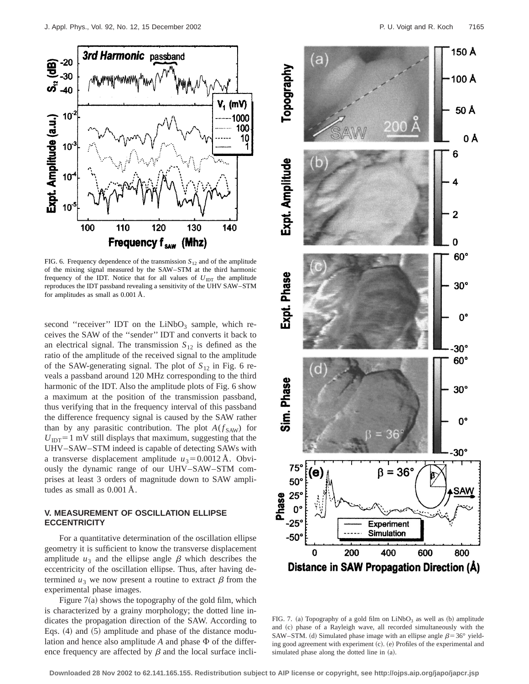

FIG. 6. Frequency dependence of the transmission  $S_{12}$  and of the amplitude of the mixing signal measured by the SAW–STM at the third harmonic frequency of the IDT. Notice that for all values of  $U_{\text{IDT}}$  the amplitude reproduces the IDT passband revealing a sensitivity of the UHV SAW–STM for amplitudes as small as 0.001 Å.

second "receiver" IDT on the  $LiNbO<sub>3</sub>$  sample, which receives the SAW of the ''sender'' IDT and converts it back to an electrical signal. The transmission  $S_{12}$  is defined as the ratio of the amplitude of the received signal to the amplitude of the SAW-generating signal. The plot of  $S_{12}$  in Fig. 6 reveals a passband around 120 MHz corresponding to the third harmonic of the IDT. Also the amplitude plots of Fig. 6 show a maximum at the position of the transmission passband, thus verifying that in the frequency interval of this passband the difference frequency signal is caused by the SAW rather than by any parasitic contribution. The plot  $A(f_{SAW})$  for  $U_{\text{IDT}}$ =1 mV still displays that maximum, suggesting that the UHV–SAW–STM indeed is capable of detecting SAWs with a transverse displacement amplitude  $u_3 = 0.0012$  Å. Obviously the dynamic range of our UHV–SAW–STM comprises at least 3 orders of magnitude down to SAW amplitudes as small as 0.001 Å.

# **V. MEASUREMENT OF OSCILLATION ELLIPSE ECCENTRICITY**

For a quantitative determination of the oscillation ellipse geometry it is sufficient to know the transverse displacement amplitude  $u_3$  and the ellipse angle  $\beta$  which describes the eccentricity of the oscillation ellipse. Thus, after having determined  $u_3$  we now present a routine to extract  $\beta$  from the experimental phase images.

Figure  $7(a)$  shows the topography of the gold film, which is characterized by a grainy morphology; the dotted line indicates the propagation direction of the SAW. According to Eqs.  $(4)$  and  $(5)$  amplitude and phase of the distance modulation and hence also amplitude  $A$  and phase  $\Phi$  of the difference frequency are affected by  $\beta$  and the local surface incli-



FIG. 7. (a) Topography of a gold film on  $LiNbO<sub>3</sub>$  as well as (b) amplitude and (c) phase of a Rayleigh wave, all recorded simultaneously with the SAW–STM. (d) Simulated phase image with an ellipse angle  $\beta$ =36° yielding good agreement with experiment (c). (e) Profiles of the experimental and simulated phase along the dotted line in  $(a)$ .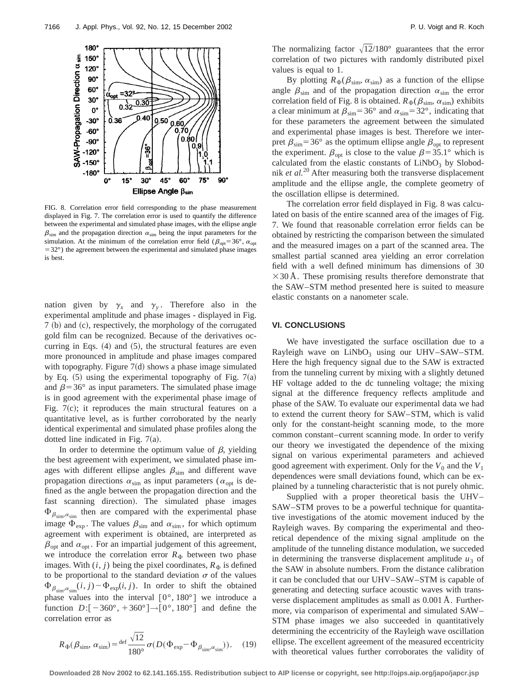

FIG. 8. Correlation error field corresponding to the phase measurement displayed in Fig. 7. The correlation error is used to quantify the difference between the experimental and simulated phase images, with the ellipse angle  $\beta_{sim}$  and the propagation direction  $\alpha_{sim}$  being the input parameters for the simulation. At the minimum of the correlation error field ( $\beta_{\text{opt}}=36^{\circ}$ ,  $\alpha_{\text{opt}}$ )  $=32^{\circ}$ ) the agreement between the experimental and simulated phase images is best.

nation given by  $\gamma_x$  and  $\gamma_y$ . Therefore also in the experimental amplitude and phase images - displayed in Fig.  $7$  (b) and (c), respectively, the morphology of the corrugated gold film can be recognized. Because of the derivatives occurring in Eqs.  $(4)$  and  $(5)$ , the structural features are even more pronounced in amplitude and phase images compared with topography. Figure  $7(d)$  shows a phase image simulated by Eq.  $(5)$  using the experimental topography of Fig. 7(a) and  $\beta$ =36° as input parameters. The simulated phase image is in good agreement with the experimental phase image of Fig.  $7(c)$ ; it reproduces the main structural features on a quantitative level, as is further corroborated by the nearly identical experimental and simulated phase profiles along the dotted line indicated in Fig.  $7(a)$ .

In order to determine the optimum value of  $\beta$ , yielding the best agreement with experiment, we simulated phase images with different ellipse angles  $\beta_{sim}$  and different wave propagation directions  $\alpha_{\text{sim}}$  as input parameters ( $\alpha_{\text{out}}$  is defined as the angle between the propagation direction and the fast scanning direction). The simulated phase images  $\Phi_{\beta_{\text{sim}},\alpha_{\text{sim}}}$  then are compared with the experimental phase image  $\Phi_{\text{exp}}$ . The values  $\beta_{\text{sim}}$  and  $\alpha_{\text{sim}}$ , for which optimum agreement with experiment is obtained, are interpreted as  $\beta_{\text{opt}}$  and  $\alpha_{\text{opt}}$ . For an impartial judgement of this agreement, we introduce the correlation error  $R_{\Phi}$  between two phase images. With  $(i, j)$  being the pixel coordinates,  $R_{\Phi}$  is defined to be proportional to the standard deviation  $\sigma$  of the values  $\Phi_{\beta_{\text{sim}},\alpha_{\text{sim}}}(i,j)-\Phi_{\text{exp}}(i,j)$ . In order to shift the obtained phase values into the interval  $[0^{\circ}, 180^{\circ}]$  we introduce a function  $D: [-360^\circ, +360^\circ] \rightarrow [0^\circ, 180^\circ]$  and define the correlation error as

$$
R_{\Phi}(\beta_{\text{sim}}, \alpha_{\text{sim}}) = \frac{\text{def}}{180^{\circ}} \frac{\sqrt{12}}{\sigma(D(\Phi_{\text{exp}} - \Phi_{\beta_{\text{sim}}, \alpha_{\text{sim}}})}). \quad (19)
$$

The normalizing factor  $\sqrt{12}/180^\circ$  guarantees that the error correlation of two pictures with randomly distributed pixel values is equal to 1.

By plotting  $R_{\Phi}(\beta_{\text{sim}}, \alpha_{\text{sim}})$  as a function of the ellipse angle  $\beta_{sim}$  and of the propagation direction  $\alpha_{sim}$  the error correlation field of Fig. 8 is obtained.  $R_{\Phi}(\beta_{\text{sim}}, \alpha_{\text{sim}})$  exhibits a clear minimum at  $\beta_{\text{sim}}=36^{\circ}$  and  $\alpha_{\text{sim}}=32^{\circ}$ , indicating that for these parameters the agreement between the simulated and experimental phase images is best. Therefore we interpret  $\beta_{\text{sim}}$ =36° as the optimum ellipse angle  $\beta_{\text{opt}}$  to represent the experiment.  $\beta_{\text{opt}}$  is close to the value  $\beta=35.1^{\circ}$  which is calculated from the elastic constants of  $LiNbO<sub>3</sub>$  by Slobodnik *et al.*<sup>20</sup> After measuring both the transverse displacement amplitude and the ellipse angle, the complete geometry of the oscillation ellipse is determined.

The correlation error field displayed in Fig. 8 was calculated on basis of the entire scanned area of the images of Fig. 7. We found that reasonable correlation error fields can be obtained by restricting the comparison between the simulated and the measured images on a part of the scanned area. The smallest partial scanned area yielding an error correlation field with a well defined minimum has dimensions of 30  $\times$ 30 Å. These promising results therefore demonstrate that the SAW–STM method presented here is suited to measure elastic constants on a nanometer scale.

### **VI. CONCLUSIONS**

We have investigated the surface oscillation due to a Rayleigh wave on  $LiNbO<sub>3</sub>$  using our UHV–SAW–STM. Here the high frequency signal due to the SAW is extracted from the tunneling current by mixing with a slightly detuned HF voltage added to the dc tunneling voltage; the mixing signal at the difference frequency reflects amplitude and phase of the SAW. To evaluate our experimental data we had to extend the current theory for SAW–STM, which is valid only for the constant-height scanning mode, to the more common constant–current scanning mode. In order to verify our theory we investigated the dependence of the mixing signal on various experimental parameters and achieved good agreement with experiment. Only for the  $V_0$  and the  $V_1$ dependences were small deviations found, which can be explained by a tunneling characteristic that is not purely ohmic.

Supplied with a proper theoretical basis the UHV– SAW–STM proves to be a powerful technique for quantitative investigations of the atomic movement induced by the Rayleigh waves. By comparing the experimental and theoretical dependence of the mixing signal amplitude on the amplitude of the tunneling distance modulation, we succeded in determining the transverse displacement amplitude  $u_3$  of the SAW in absolute numbers. From the distance calibration it can be concluded that our UHV–SAW–STM is capable of generating and detecting surface acoustic waves with transverse displacement amplitudes as small as 0.001 Å. Furthermore, via comparison of experimental and simulated SAW– STM phase images we also succeeded in quantitatively determining the eccentricity of the Rayleigh wave oscillation ellipse. The excellent agreement of the measured eccentricity with theoretical values further corroborates the validity of